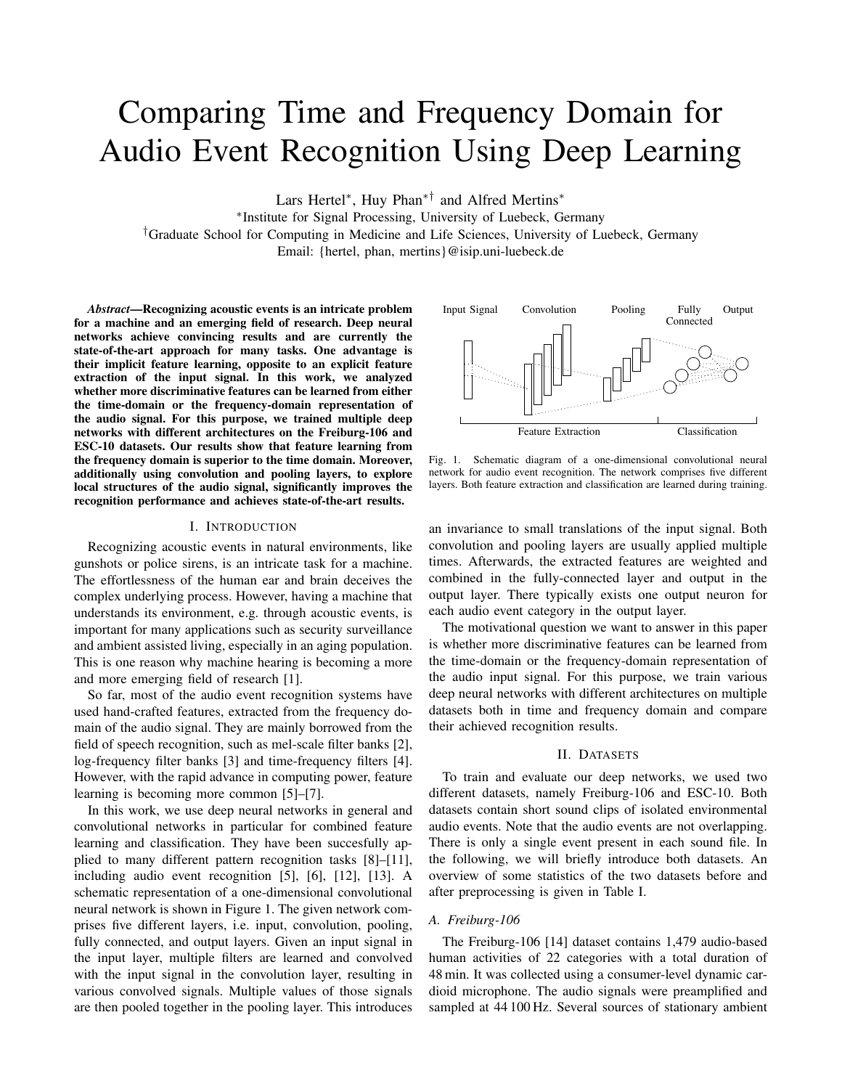# Comparing Time and Frequency Domain for Audio Event Recognition Using Deep Learning

Lars Hertel<sup>∗</sup> , Huy Phan∗† and Alfred Mertins<sup>∗</sup>

∗ Institute for Signal Processing, University of Luebeck, Germany

†Graduate School for Computing in Medicine and Life Sciences, University of Luebeck, Germany

Email: {hertel, phan, mertins}@isip.uni-luebeck.de

*Abstract*—Recognizing acoustic events is an intricate problem for a machine and an emerging field of research. Deep neural networks achieve convincing results and are currently the state-of-the-art approach for many tasks. One advantage is their implicit feature learning, opposite to an explicit feature extraction of the input signal. In this work, we analyzed whether more discriminative features can be learned from either the time-domain or the frequency-domain representation of the audio signal. For this purpose, we trained multiple deep networks with different architectures on the Freiburg-106 and ESC-10 datasets. Our results show that feature learning from the frequency domain is superior to the time domain. Moreover, additionally using convolution and pooling layers, to explore local structures of the audio signal, significantly improves the recognition performance and achieves state-of-the-art results.

#### I. INTRODUCTION

Recognizing acoustic events in natural environments, like gunshots or police sirens, is an intricate task for a machine. The effortlessness of the human ear and brain deceives the complex underlying process. However, having a machine that understands its environment, e.g. through acoustic events, is important for many applications such as security surveillance and ambient assisted living, especially in an aging population. This is one reason why machine hearing is becoming a more and more emerging field of research [1].

So far, most of the audio event recognition systems have used hand-crafted features, extracted from the frequency domain of the audio signal. They are mainly borrowed from the field of speech recognition, such as mel-scale filter banks [2], log-frequency filter banks [3] and time-frequency filters [4]. However, with the rapid advance in computing power, feature learning is becoming more common [5]–[7].

In this work, we use deep neural networks in general and convolutional networks in particular for combined feature learning and classification. They have been succesfully applied to many different pattern recognition tasks [8]–[11], including audio event recognition [5], [6], [12], [13]. A schematic representation of a one-dimensional convolutional neural network is shown in Figure 1. The given network comprises five different layers, i.e. input, convolution, pooling, fully connected, and output layers. Given an input signal in the input layer, multiple filters are learned and convolved with the input signal in the convolution layer, resulting in various convolved signals. Multiple values of those signals are then pooled together in the pooling layer. This introduces



Fig. 1. Schematic diagram of a one-dimensional convolutional neural network for audio event recognition. The network comprises five different layers. Both feature extraction and classification are learned during training.

an invariance to small translations of the input signal. Both convolution and pooling layers are usually applied multiple times. Afterwards, the extracted features are weighted and combined in the fully-connected layer and output in the output layer. There typically exists one output neuron for each audio event category in the output layer.

The motivational question we want to answer in this paper is whether more discriminative features can be learned from the time-domain or the frequency-domain representation of the audio input signal. For this purpose, we train various deep neural networks with different architectures on multiple datasets both in time and frequency domain and compare their achieved recognition results.

# II. DATASETS

To train and evaluate our deep networks, we used two different datasets, namely Freiburg-106 and ESC-10. Both datasets contain short sound clips of isolated environmental audio events. Note that the audio events are not overlapping. There is only a single event present in each sound file. In the following, we will briefly introduce both datasets. An overview of some statistics of the two datasets before and after preprocessing is given in Table I.

# *A. Freiburg-106*

The Freiburg-106 [14] dataset contains 1,479 audio-based human activities of 22 categories with a total duration of 48 min. It was collected using a consumer-level dynamic cardioid microphone. The audio signals were preamplified and sampled at 44 100 Hz. Several sources of stationary ambient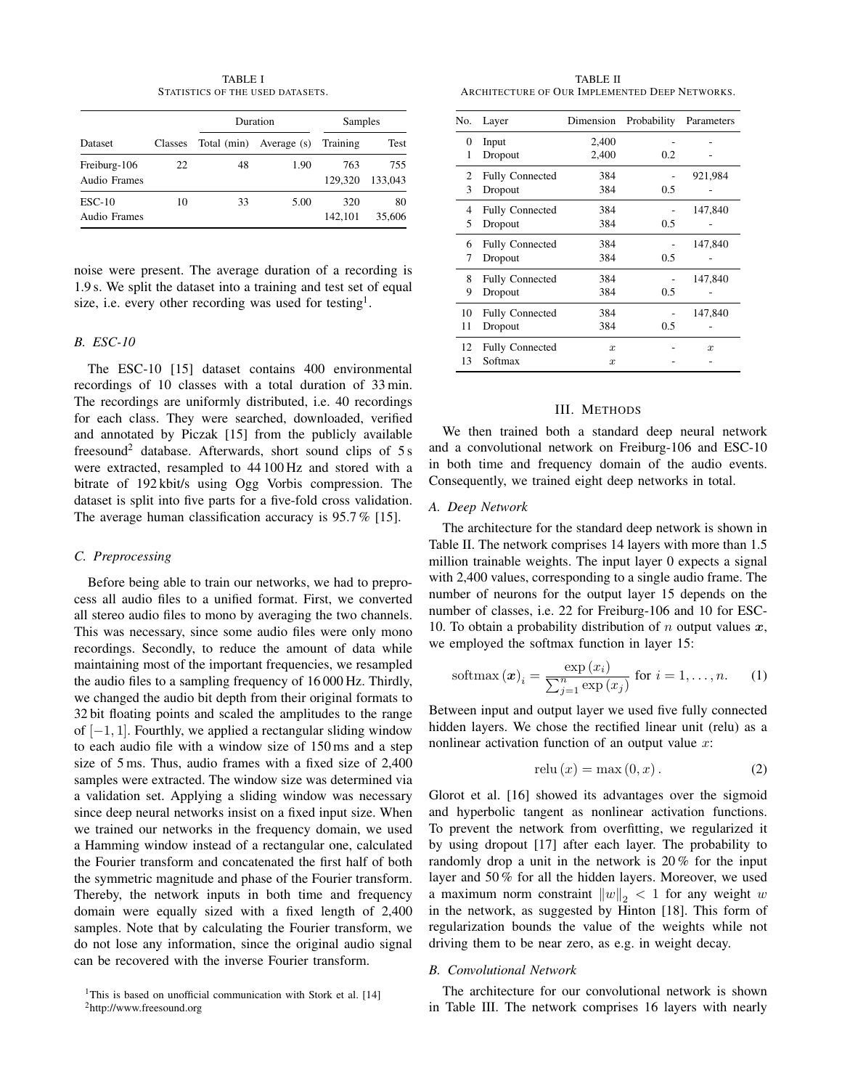TABLE I STATISTICS OF THE USED DATASETS.

|                              |         |    | Duration                         | Samples        |                |  |
|------------------------------|---------|----|----------------------------------|----------------|----------------|--|
| Dataset                      | Classes |    | Total (min) Average (s) Training |                | Test           |  |
| Freiburg-106<br>Audio Frames | 22      | 48 | 1.90                             | 763<br>129.320 | 755<br>133,043 |  |
| $ESC-10$<br>Audio Frames     | 10      | 33 | 5.00                             | 320<br>142.101 | 80<br>35,606   |  |

noise were present. The average duration of a recording is 1.9 s. We split the dataset into a training and test set of equal size, i.e. every other recording was used for testing<sup>1</sup>.

# *B. ESC-10*

The ESC-10 [15] dataset contains 400 environmental recordings of 10 classes with a total duration of 33 min. The recordings are uniformly distributed, i.e. 40 recordings for each class. They were searched, downloaded, verified and annotated by Piczak [15] from the publicly available freesound<sup>2</sup> database. Afterwards, short sound clips of  $5s$ were extracted, resampled to 44 100 Hz and stored with a bitrate of 192 kbit/s using Ogg Vorbis compression. The dataset is split into five parts for a five-fold cross validation. The average human classification accuracy is 95.7% [15].

# *C. Preprocessing*

Before being able to train our networks, we had to preprocess all audio files to a unified format. First, we converted all stereo audio files to mono by averaging the two channels. This was necessary, since some audio files were only mono recordings. Secondly, to reduce the amount of data while maintaining most of the important frequencies, we resampled the audio files to a sampling frequency of 16 000 Hz. Thirdly, we changed the audio bit depth from their original formats to 32 bit floating points and scaled the amplitudes to the range of  $[-1, 1]$ . Fourthly, we applied a rectangular sliding window to each audio file with a window size of 150 ms and a step size of 5 ms. Thus, audio frames with a fixed size of 2,400 samples were extracted. The window size was determined via a validation set. Applying a sliding window was necessary since deep neural networks insist on a fixed input size. When we trained our networks in the frequency domain, we used a Hamming window instead of a rectangular one, calculated the Fourier transform and concatenated the first half of both the symmetric magnitude and phase of the Fourier transform. Thereby, the network inputs in both time and frequency domain were equally sized with a fixed length of 2,400 samples. Note that by calculating the Fourier transform, we do not lose any information, since the original audio signal can be recovered with the inverse Fourier transform.

<sup>2</sup>http://www.freesound.org

TABLE II ARCHITECTURE OF OUR IMPLEMENTED DEEP NETWORKS.

| Layer                  | Dimension        | Probability | Parameters |
|------------------------|------------------|-------------|------------|
| Input                  | 2,400            |             |            |
| Dropout                | 2,400            | 0.2         |            |
| <b>Fully Connected</b> | 384              |             | 921,984    |
| Dropout                | 384              | 0.5         |            |
| <b>Fully Connected</b> | 384              |             | 147,840    |
| Dropout                | 384              | 0.5         |            |
| <b>Fully Connected</b> | 384              |             | 147,840    |
| Dropout                | 384              | 0.5         |            |
| <b>Fully Connected</b> | 384              |             | 147,840    |
| Dropout                | 384              | 0.5         |            |
| <b>Fully Connected</b> | 384              |             | 147,840    |
| Dropout                | 384              | 0.5         |            |
| <b>Fully Connected</b> | $\boldsymbol{x}$ |             | x          |
| Softmax                | $\boldsymbol{x}$ |             |            |
|                        |                  |             |            |

# III. METHODS

We then trained both a standard deep neural network and a convolutional network on Freiburg-106 and ESC-10 in both time and frequency domain of the audio events. Consequently, we trained eight deep networks in total.

#### *A. Deep Network*

The architecture for the standard deep network is shown in Table II. The network comprises 14 layers with more than 1.5 million trainable weights. The input layer 0 expects a signal with 2,400 values, corresponding to a single audio frame. The number of neurons for the output layer 15 depends on the number of classes, i.e. 22 for Freiburg-106 and 10 for ESC-10. To obtain a probability distribution of n output values  $x$ , we employed the softmax function in layer 15:

$$
\text{softmax}\left(\boldsymbol{x}\right)_i = \frac{\exp\left(x_i\right)}{\sum_{j=1}^n \exp\left(x_j\right)} \text{ for } i = 1, \dots, n. \tag{1}
$$

Between input and output layer we used five fully connected hidden layers. We chose the rectified linear unit (relu) as a nonlinear activation function of an output value  $x$ :

$$
relu(x) = \max(0, x). \tag{2}
$$

Glorot et al. [16] showed its advantages over the sigmoid and hyperbolic tangent as nonlinear activation functions. To prevent the network from overfitting, we regularized it by using dropout [17] after each layer. The probability to randomly drop a unit in the network is 20 % for the input layer and 50 % for all the hidden layers. Moreover, we used a maximum norm constraint  $\|w\|_2 < 1$  for any weight w in the network, as suggested by Hinton [18]. This form of regularization bounds the value of the weights while not driving them to be near zero, as e.g. in weight decay.

## *B. Convolutional Network*

The architecture for our convolutional network is shown in Table III. The network comprises 16 layers with nearly

<sup>&</sup>lt;sup>1</sup>This is based on unofficial communication with Stork et al. [14]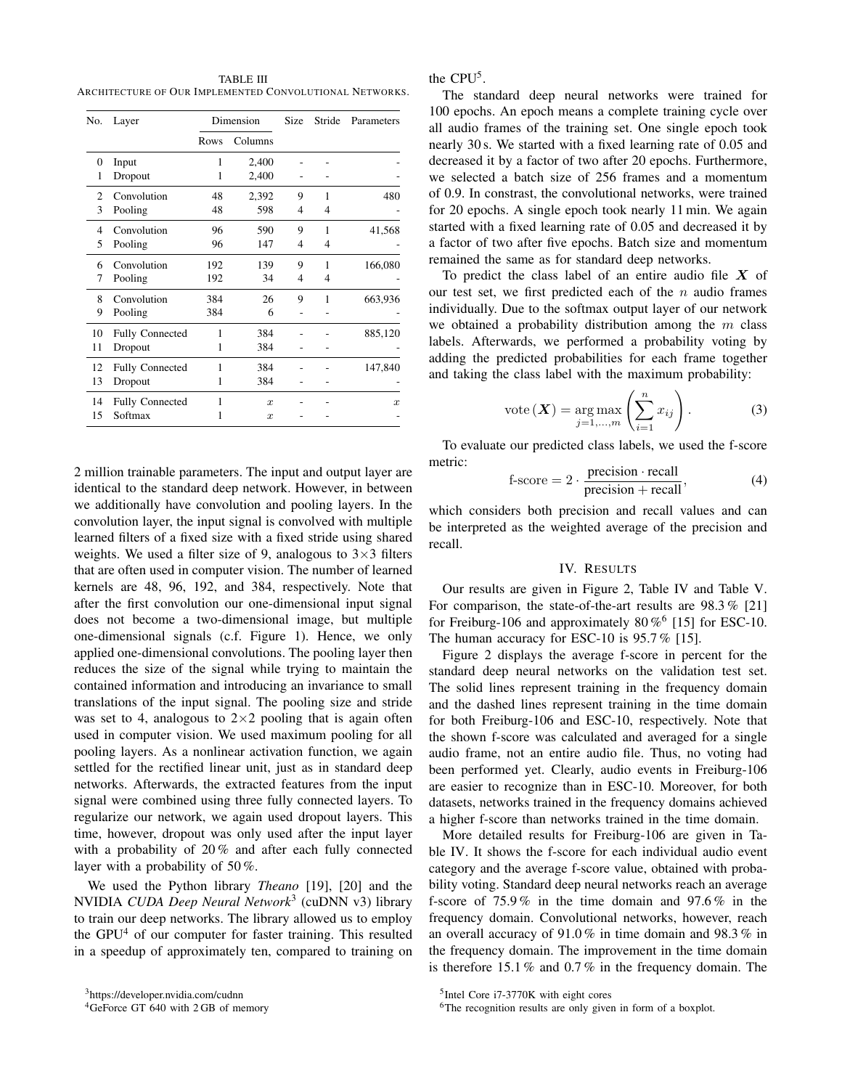TABLE III ARCHITECTURE OF OUR IMPLEMENTED CONVOLUTIONAL NETWORKS.

| No.      | Dimension<br>Layer     |      | Size             | Stride | Parameters   |                  |
|----------|------------------------|------|------------------|--------|--------------|------------------|
|          |                        | Rows | Columns          |        |              |                  |
| $\Omega$ | Input                  | 1    | 2,400            |        |              |                  |
| 1        | Dropout                | 1    | 2,400            |        |              |                  |
| 2        | Convolution            | 48   | 2,392            | 9      | 1            | 480              |
| 3        | Pooling                | 48   | 598              | 4      | 4            |                  |
| 4        | Convolution            | 96   | 590              | 9      | 1            | 41,568           |
| 5        | Pooling                | 96   | 147              | 4      | 4            |                  |
| 6        | Convolution            | 192  | 139              | 9      | 1            | 166,080          |
| 7        | Pooling                | 192  | 34               | 4      | 4            |                  |
| 8        | Convolution            | 384  | 26               | 9      | $\mathbf{1}$ | 663,936          |
| 9        | Pooling                | 384  | 6                |        |              |                  |
| 10       | <b>Fully Connected</b> | 1    | 384              |        |              | 885,120          |
| 11       | Dropout                | 1    | 384              |        |              |                  |
| 12       | <b>Fully Connected</b> | 1    | 384              |        |              | 147,840          |
| 13       | Dropout                | 1    | 384              |        |              |                  |
| 14       | <b>Fully Connected</b> | 1    | $\boldsymbol{x}$ |        |              | $\boldsymbol{x}$ |
| 15       | Softmax                | 1    | $\boldsymbol{x}$ |        |              |                  |

2 million trainable parameters. The input and output layer are identical to the standard deep network. However, in between we additionally have convolution and pooling layers. In the convolution layer, the input signal is convolved with multiple learned filters of a fixed size with a fixed stride using shared weights. We used a filter size of 9, analogous to  $3\times3$  filters that are often used in computer vision. The number of learned kernels are 48, 96, 192, and 384, respectively. Note that after the first convolution our one-dimensional input signal does not become a two-dimensional image, but multiple one-dimensional signals (c.f. Figure 1). Hence, we only applied one-dimensional convolutions. The pooling layer then reduces the size of the signal while trying to maintain the contained information and introducing an invariance to small translations of the input signal. The pooling size and stride was set to 4, analogous to  $2\times 2$  pooling that is again often used in computer vision. We used maximum pooling for all pooling layers. As a nonlinear activation function, we again settled for the rectified linear unit, just as in standard deep networks. Afterwards, the extracted features from the input signal were combined using three fully connected layers. To regularize our network, we again used dropout layers. This time, however, dropout was only used after the input layer with a probability of 20% and after each fully connected layer with a probability of 50 %.

We used the Python library *Theano* [19], [20] and the NVIDIA *CUDA Deep Neural Network*<sup>3</sup> (cuDNN v3) library to train our deep networks. The library allowed us to employ the  $GPU<sup>4</sup>$  of our computer for faster training. This resulted in a speedup of approximately ten, compared to training on the CPU<sup>5</sup>.

The standard deep neural networks were trained for 100 epochs. An epoch means a complete training cycle over all audio frames of the training set. One single epoch took nearly 30 s. We started with a fixed learning rate of 0.05 and decreased it by a factor of two after 20 epochs. Furthermore, we selected a batch size of 256 frames and a momentum of 0.9. In constrast, the convolutional networks, were trained for 20 epochs. A single epoch took nearly 11 min. We again started with a fixed learning rate of 0.05 and decreased it by a factor of two after five epochs. Batch size and momentum remained the same as for standard deep networks.

To predict the class label of an entire audio file  $X$  of our test set, we first predicted each of the  $n$  audio frames individually. Due to the softmax output layer of our network we obtained a probability distribution among the  $m$  class labels. Afterwards, we performed a probability voting by adding the predicted probabilities for each frame together and taking the class label with the maximum probability:

$$
vote(\boldsymbol{X}) = \underset{j=1,\dots,m}{\arg\max} \left( \sum_{i=1}^{n} x_{ij} \right). \tag{3}
$$

To evaluate our predicted class labels, we used the f-score metric:

f-score = 
$$
2 \cdot \frac{\text{precision} \cdot \text{recall}}{\text{precision} + \text{recall}},
$$
 (4)

which considers both precision and recall values and can be interpreted as the weighted average of the precision and recall.

# IV. RESULTS

Our results are given in Figure 2, Table IV and Table V. For comparison, the state-of-the-art results are  $98.3\%$  [21] for Freiburg-106 and approximately  $80\,\%$ <sup>6</sup> [15] for ESC-10. The human accuracy for ESC-10 is 95.7 % [15].

Figure 2 displays the average f-score in percent for the standard deep neural networks on the validation test set. The solid lines represent training in the frequency domain and the dashed lines represent training in the time domain for both Freiburg-106 and ESC-10, respectively. Note that the shown f-score was calculated and averaged for a single audio frame, not an entire audio file. Thus, no voting had been performed yet. Clearly, audio events in Freiburg-106 are easier to recognize than in ESC-10. Moreover, for both datasets, networks trained in the frequency domains achieved a higher f-score than networks trained in the time domain.

More detailed results for Freiburg-106 are given in Table IV. It shows the f-score for each individual audio event category and the average f-score value, obtained with probability voting. Standard deep neural networks reach an average f-score of 75.9 % in the time domain and 97.6 % in the frequency domain. Convolutional networks, however, reach an overall accuracy of 91.0 % in time domain and 98.3 % in the frequency domain. The improvement in the time domain is therefore 15.1 % and 0.7 % in the frequency domain. The

<sup>3</sup>https://developer.nvidia.com/cudnn

<sup>&</sup>lt;sup>4</sup>GeForce GT 640 with 2 GB of memory

<sup>5</sup> Intel Core i7-3770K with eight cores

<sup>&</sup>lt;sup>6</sup>The recognition results are only given in form of a boxplot.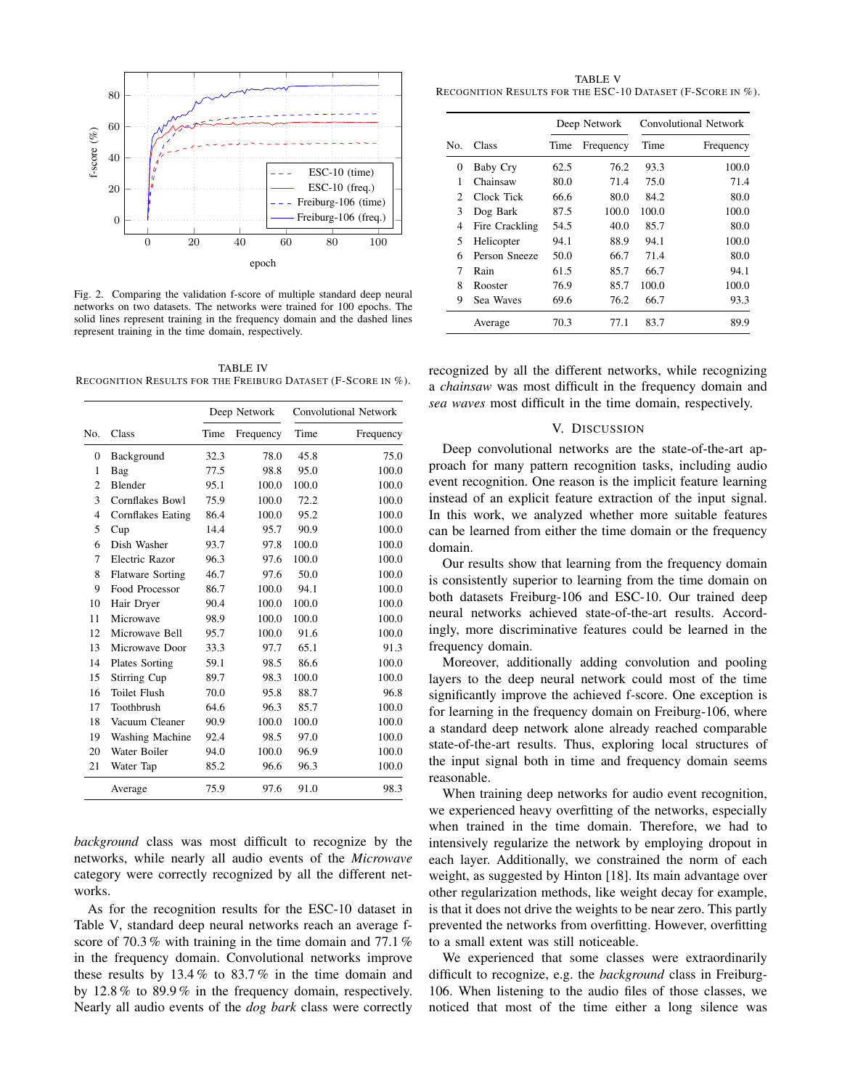

Fig. 2. Comparing the validation f-score of multiple standard deep neural networks on two datasets. The networks were trained for 100 epochs. The solid lines represent training in the frequency domain and the dashed lines represent training in the time domain, respectively.

TABLE IV RECOGNITION RESULTS FOR THE FREIBURG DATASET (F-SCORE IN %).

|                |                         |      | Deep Network |       | <b>Convolutional Network</b> |  |
|----------------|-------------------------|------|--------------|-------|------------------------------|--|
| No.            | Class                   | Time | Frequency    | Time  | Frequency                    |  |
| 0              | Background              | 32.3 | 78.0         | 45.8  | 75.0                         |  |
| 1              | Bag                     | 77.5 | 98.8         | 95.0  | 100.0                        |  |
| 2              | Blender                 | 95.1 | 100.0        | 100.0 | 100.0                        |  |
| 3              | Cornflakes Bowl         | 75.9 | 100.0        | 72.2  | 100.0                        |  |
| $\overline{4}$ | Cornflakes Eating       | 86.4 | 100.0        | 95.2  | 100.0                        |  |
| 5              | Cup                     | 14.4 | 95.7         | 90.9  | 100.0                        |  |
| 6              | Dish Washer             | 93.7 | 97.8         | 100.0 | 100.0                        |  |
| 7              | Electric Razor          | 96.3 | 97.6         | 100.0 | 100.0                        |  |
| 8              | <b>Flatware Sorting</b> | 46.7 | 97.6         | 50.0  | 100.0                        |  |
| 9              | Food Processor          | 86.7 | 100.0        | 94.1  | 100.0                        |  |
| 10             | Hair Dryer              | 90.4 | 100.0        | 100.0 | 100.0                        |  |
| 11             | Microwave               | 98.9 | 100.0        | 100.0 | 100.0                        |  |
| 12             | Microwave Bell          | 95.7 | 100.0        | 91.6  | 100.0                        |  |
| 13             | Microwave Door          | 33.3 | 97.7         | 65.1  | 91.3                         |  |
| 14             | Plates Sorting          | 59.1 | 98.5         | 86.6  | 100.0                        |  |
| 15             | Stirring Cup            | 89.7 | 98.3         | 100.0 | 100.0                        |  |
| 16             | <b>Toilet Flush</b>     | 70.0 | 95.8         | 88.7  | 96.8                         |  |
| 17             | Toothbrush              | 64.6 | 96.3         | 85.7  | 100.0                        |  |
| 18             | Vacuum Cleaner          | 90.9 | 100.0        | 100.0 | 100.0                        |  |
| 19             | Washing Machine         | 92.4 | 98.5         | 97.0  | 100.0                        |  |
| 20             | Water Boiler            | 94.0 | 100.0        | 96.9  | 100.0                        |  |
| 21             | Water Tap               | 85.2 | 96.6         | 96.3  | 100.0                        |  |
|                | Average                 | 75.9 | 97.6         | 91.0  | 98.3                         |  |

*background* class was most difficult to recognize by the networks, while nearly all audio events of the *Microwave* category were correctly recognized by all the different networks.

As for the recognition results for the ESC-10 dataset in Table V, standard deep neural networks reach an average fscore of 70.3% with training in the time domain and 77.1% in the frequency domain. Convolutional networks improve these results by 13.4 % to 83.7 % in the time domain and by 12.8 % to 89.9 % in the frequency domain, respectively. Nearly all audio events of the *dog bark* class were correctly

TABLE V RECOGNITION RESULTS FOR THE ESC-10 DATASET (F-SCORE IN %).

|                |                 | Deep Network |           | Convolutional Network |           |  |
|----------------|-----------------|--------------|-----------|-----------------------|-----------|--|
| No.            | Class           | Time         | Frequency | Time                  | Frequency |  |
| $\Omega$       | <b>Baby Cry</b> | 62.5         | 76.2      | 93.3                  | 100.0     |  |
| 1              | Chainsaw        | 80.0         | 71.4      | 75.0                  | 71.4      |  |
| $\overline{c}$ | Clock Tick      | 66.6         | 80.0      | 84.2                  | 80.0      |  |
| 3              | Dog Bark        | 87.5         | 100.0     | 100.0                 | 100.0     |  |
| 4              | Fire Crackling  | 54.5         | 40.0      | 85.7                  | 80.0      |  |
| 5              | Helicopter      | 94.1         | 88.9      | 94.1                  | 100.0     |  |
| 6              | Person Sneeze   | 50.0         | 66.7      | 71.4                  | 80.0      |  |
| 7              | Rain            | 61.5         | 85.7      | 66.7                  | 94.1      |  |
| 8              | Rooster         | 76.9         | 85.7      | 100.0                 | 100.0     |  |
| 9              | Sea Waves       | 69.6         | 76.2      | 66.7                  | 93.3      |  |
|                | Average         | 70.3         | 77.1      | 83.7                  | 89.9      |  |

recognized by all the different networks, while recognizing a *chainsaw* was most difficult in the frequency domain and *sea waves* most difficult in the time domain, respectively.

# V. DISCUSSION

Deep convolutional networks are the state-of-the-art approach for many pattern recognition tasks, including audio event recognition. One reason is the implicit feature learning instead of an explicit feature extraction of the input signal. In this work, we analyzed whether more suitable features can be learned from either the time domain or the frequency domain.

Our results show that learning from the frequency domain is consistently superior to learning from the time domain on both datasets Freiburg-106 and ESC-10. Our trained deep neural networks achieved state-of-the-art results. Accordingly, more discriminative features could be learned in the frequency domain.

Moreover, additionally adding convolution and pooling layers to the deep neural network could most of the time significantly improve the achieved f-score. One exception is for learning in the frequency domain on Freiburg-106, where a standard deep network alone already reached comparable state-of-the-art results. Thus, exploring local structures of the input signal both in time and frequency domain seems reasonable.

When training deep networks for audio event recognition, we experienced heavy overfitting of the networks, especially when trained in the time domain. Therefore, we had to intensively regularize the network by employing dropout in each layer. Additionally, we constrained the norm of each weight, as suggested by Hinton [18]. Its main advantage over other regularization methods, like weight decay for example, is that it does not drive the weights to be near zero. This partly prevented the networks from overfitting. However, overfitting to a small extent was still noticeable.

We experienced that some classes were extraordinarily difficult to recognize, e.g. the *background* class in Freiburg-106. When listening to the audio files of those classes, we noticed that most of the time either a long silence was